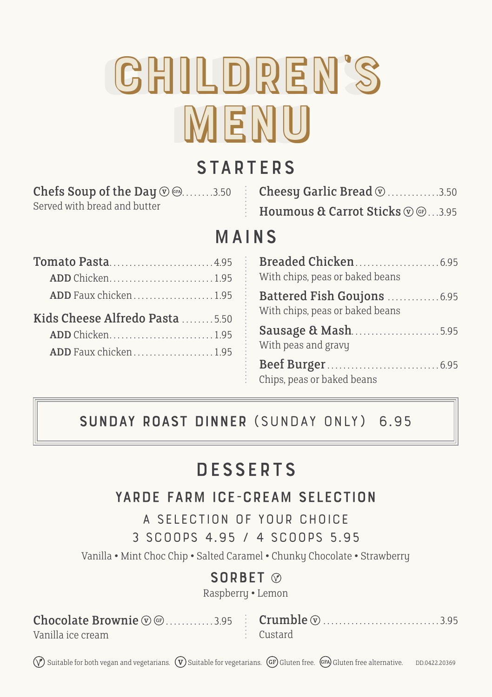# children's children's menu menu

# **STARTERS**

| <b>Chefs Soup of the Day <math>\textcircled{1}\,\textcircled{2}\,\textcircled{3}\,\textcircled{3}\,\textcircled{3}\,\textcircled{4}</math></b> |  |
|------------------------------------------------------------------------------------------------------------------------------------------------|--|
| Served with bread and butter                                                                                                                   |  |

| <b>Cheesy Garlic Bread</b> $\mathcal{D}$ 3.50 |  |
|-----------------------------------------------|--|
| Houmous & Carrot Sticks $\circledR$ 3.95      |  |

# Mains

| Tomato Pasta4.95                |  |
|---------------------------------|--|
| <b>ADD</b> Chicken1.95          |  |
|                                 |  |
| Kids Cheese Alfredo Pasta  5.50 |  |
| ADD Chicken1.95                 |  |
|                                 |  |
|                                 |  |

| With chips, peas or baked beans                                |
|----------------------------------------------------------------|
| Battered Fish Goujons  6.95<br>With chips, peas or baked beans |
| Sausage & Mash5.95<br>With peas and gravy                      |
| Chips, peas or baked beans                                     |

#### Sunday Roast Dinner **(Sunday only) 6.95**

# **DESSERTS**

#### Yarde Farm Ice-Cream Selection

**A selection of your choice**

**3 scoops 4.95 / 4 scoops 5.95**

Vanilla • Mint Choc Chip • Salted Caramel • Chunky Chocolate • Strawberry

#### SORBET @

Raspberry • Lemon

 ${\tt Chocolate~Brownie}$   $\circledcirc$  .............3.95  $\quad \vdots \quad {\tt Crumble}$   $\circledcirc$  ................................3.95

Vanilla ice cream

 $:$  Custard

 $(\sqrt{\gamma})$  Suitable for both vegan and vegetarians.  $(\sqrt{\gamma})$  Suitable for vegetarians.  $(\text{GF})$  Gluten free.  $(\text{EF})$  Gluten free alternative. DD.0422.20369